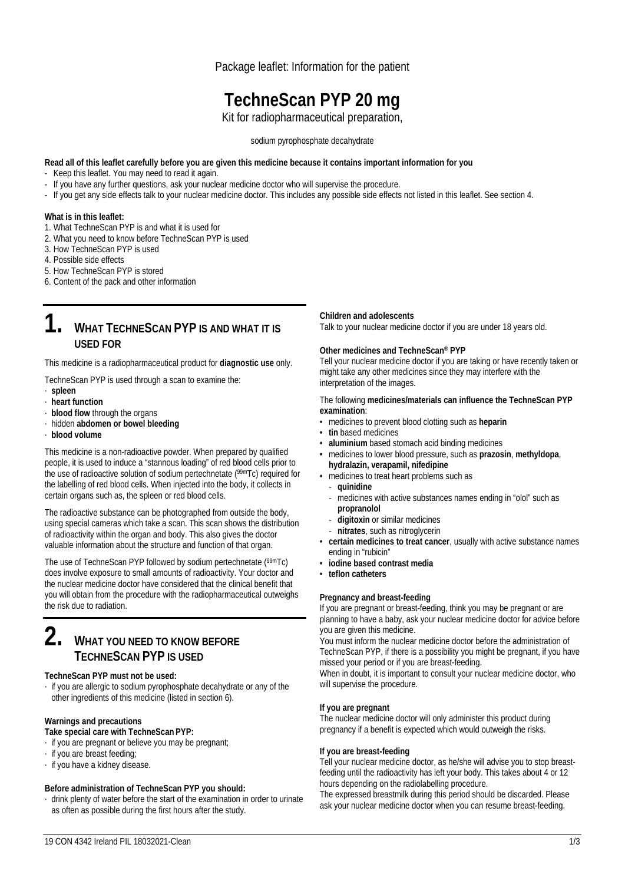Package leaflet: Information for the patient

# **TechneScan PYP 20 mg**

Kit for radiopharmaceutical preparation,

sodium pyrophosphate decahydrate

#### **Read all of this leaflet carefully before you are given this medicine because it contains important information for you**

- Keep this leaflet. You may need to read it again.
- If you have any further questions, ask your nuclear medicine doctor who will supervise the procedure.
- If you get any side effects talk to your nuclear medicine doctor. This includes any possible side effects not listed in this leaflet. See section 4.

#### **What is in this leaflet:**

- 1. What TechneScan PYP is and what it is used for
- 2. What you need to know before TechneScan PYP is used
- 3. How TechneScan PYP is used
- 4. Possible side effects
- 5. How TechneScan PYP is stored
- 6. Content of the pack and other information

## **1. WHAT TECHNESCAN PYP IS AND WHAT IT IS USED FOR**

This medicine is a radiopharmaceutical product for **diagnostic use** only.

TechneScan PYP is used through a scan to examine the:

- ∙ **spleen**
- ∙ **heart function**
- ∙ **blood flow** through the organs
- ∙ hidden **abdomen or bowel bleeding**
- ∙ **blood volume**

This medicine is a non-radioactive powder. When prepared by qualified people, it is used to induce a "stannous loading" of red blood cells prior to the use of radioactive solution of sodium pertechnetate (99mTc) required for the labelling of red blood cells. When injected into the body, it collects in certain organs such as, the spleen or red blood cells.

The radioactive substance can be photographed from outside the body, using special cameras which take a scan. This scan shows the distribution of radioactivity within the organ and body. This also gives the doctor valuable information about the structure and function of that organ.

The use of TechneScan PYP followed by sodium pertechnetate (99mTc) does involve exposure to small amounts of radioactivity. Your doctor and the nuclear medicine doctor have considered that the clinical benefit that you will obtain from the procedure with the radiopharmaceutical outweighs the risk due to radiation.

## **2. WHAT YOU NEED TO KNOW BEFORE TECHNESCAN PYP IS USED**

#### **TechneScan PYP must not be used:**

∙ if you are allergic to sodium pyrophosphate decahydrate or any of the other ingredients of this medicine (listed in section 6).

#### **Warnings and precautions**

- **Take special care with TechneScan PYP:**
- ∙ if you are pregnant or believe you may be pregnant;
- ∙ if you are breast feeding;
- ∙ if you have a kidney disease.

#### **Before administration of TechneScan PYP you should:**

∙ drink plenty of water before the start of the examination in order to urinate as often as possible during the first hours after the study.

#### **Children and adolescents**

Talk to your nuclear medicine doctor if you are under 18 years old.

#### **Other medicines and TechneScan® PYP**

Tell your nuclear medicine doctor if you are taking or have recently taken or might take any other medicines since they may interfere with the interpretation of the images.

The following **medicines/materials can influence the TechneScan PYP examination**:

- medicines to prevent blood clotting such as **heparin**
- **tin** based medicines
- **aluminium** based stomach acid binding medicines
- medicines to lower blood pressure, such as **prazosin**, **methyldopa**, **hydralazin, verapamil, nifedipine**
- medicines to treat heart problems such as
- ‐ **quinidine**
- ‐ medicines with active substances names ending in "olol" such as **propranolol**
- ‐ **digitoxin** or similar medicines
- ‐ **nitrates**, such as nitroglycerin
- **certain medicines to treat cancer**, usually with active substance names ending in "rubicin"
- **iodine based contrast media**
- **teflon catheters**

#### **Pregnancy and breast-feeding**

If you are pregnant or breast-feeding, think you may be pregnant or are planning to have a baby, ask your nuclear medicine doctor for advice before you are given this medicine.

You must inform the nuclear medicine doctor before the administration of TechneScan PYP, if there is a possibility you might be pregnant, if you have missed your period or if you are breast-feeding.

When in doubt, it is important to consult your nuclear medicine doctor, who will supervise the procedure.

#### **If you are pregnant**

The nuclear medicine doctor will only administer this product during pregnancy if a benefit is expected which would outweigh the risks.

#### **If you are breast-feeding**

Tell your nuclear medicine doctor, as he/she will advise you to stop breastfeeding until the radioactivity has left your body. This takes about 4 or 12 hours depending on the radiolabelling procedure.

The expressed breastmilk during this period should be discarded. Please ask your nuclear medicine doctor when you can resume breast-feeding.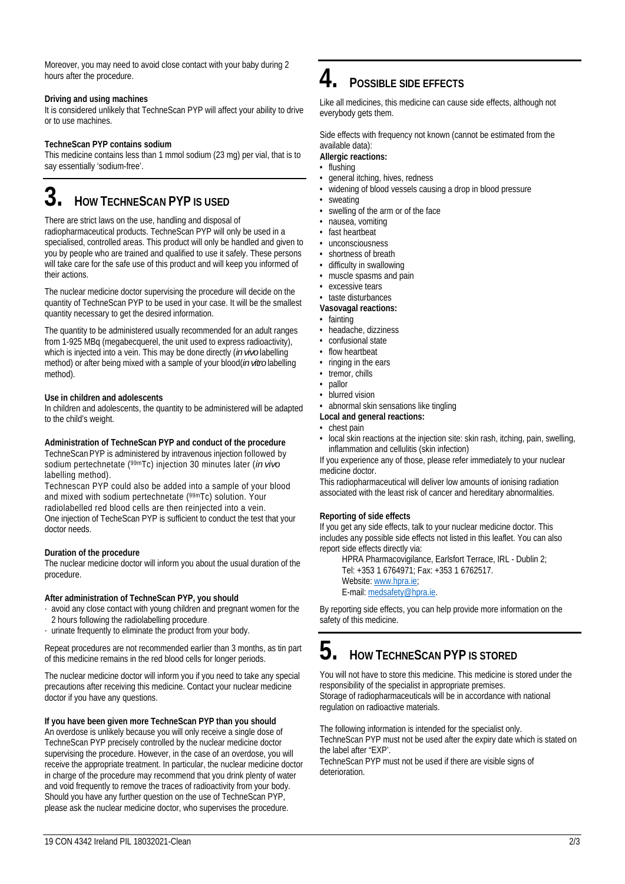Moreover, you may need to avoid close contact with your baby during 2 hours after the procedure.

#### **Driving and using machines**

It is considered unlikely that TechneScan PYP will affect your ability to drive or to use machines.

#### **TechneScan PYP contains sodium**

This medicine contains less than 1 mmol sodium (23 mg) per vial, that is to say essentially 'sodium-free'.

# **3. HOW TECHNESCAN PYP IS USED**

There are strict laws on the use, handling and disposal of radiopharmaceutical products. TechneScan PYP will only be used in a specialised, controlled areas. This product will only be handled and given to you by people who are trained and qualified to use it safely. These persons will take care for the safe use of this product and will keep you informed of their actions.

The nuclear medicine doctor supervising the procedure will decide on the quantity of TechneScan PYP to be used in your case. It will be the smallest quantity necessary to get the desired information.

The quantity to be administered usually recommended for an adult ranges from 1-925 MBq (megabecquerel, the unit used to express radioactivity), which is injected into a vein. This may be done directly (*in vivo* labelling method) or after being mixed with a sample of your blood(*in vitro* labelling method).

#### **Use in children and adolescents**

In children and adolescents, the quantity to be administered will be adapted to the child's weight.

#### **Administration of TechneScan PYP and conduct of the procedure**

TechneScan PYP is administered by intravenous injection followed by sodium pertechnetate (99mTc) injection 30 minutes later (*in vivo* labelling method).

Technescan PYP could also be added into a sample of your blood and mixed with sodium pertechnetate (99mTc) solution. Your radiolabelled red blood cells are then reinjected into a vein. One injection of TecheScan PYP is sufficient to conduct the test that your doctor needs.

#### **Duration of the procedure**

The nuclear medicine doctor will inform you about the usual duration of the procedure.

#### **After administration of TechneScan PYP, you should**

- ∙ avoid any close contact with young children and pregnant women for the 2 hours following the radiolabelling procedure.
- ∙ urinate frequently to eliminate the product from your body.

Repeat procedures are not recommended earlier than 3 months, as tin part of this medicine remains in the red blood cells for longer periods.

The nuclear medicine doctor will inform you if you need to take any special precautions after receiving this medicine. Contact your nuclear medicine doctor if you have any questions.

#### **If you have been given more TechneScan PYP than you should**

An overdose is unlikely because you will only receive a single dose of TechneScan PYP precisely controlled by the nuclear medicine doctor supervising the procedure. However, in the case of an overdose, you will receive the appropriate treatment. In particular, the nuclear medicine doctor in charge of the procedure may recommend that you drink plenty of water and void frequently to remove the traces of radioactivity from your body. Should you have any further question on the use of TechneScan PYP, please ask the nuclear medicine doctor, who supervises the procedure.

# **4. POSSIBLE SIDE EFFECTS**

Like all medicines, this medicine can cause side effects, although not everybody gets them.

Side effects with frequency not known (cannot be estimated from the available data):

### **Allergic reactions:**

- flushing
- general itching, hives, redness
- widening of blood vessels causing a drop in blood pressure
- sweating
- swelling of the arm or of the face
- nausea, vomiting
- fast heartbeat
- unconsciousness
- shortness of breath
- difficulty in swallowing
- muscle spasms and pain
- excessive tears
- taste disturbances
- **Vasovagal reactions:**
- fainting
- headache, dizziness
- confusional state • flow heartbeat
- ringing in the ears
- tremor, chills
- pallor
- blurred vision

### • abnormal skin sensations like tingling

- **Local and general reactions:**
- chest pain
- local skin reactions at the injection site: skin rash, itching, pain, swelling, inflammation and cellulitis (skin infection)

If you experience any of those, please refer immediately to your nuclear medicine doctor.

This radiopharmaceutical will deliver low amounts of ionising radiation associated with the least risk of cancer and hereditary abnormalities.

#### **Reporting of side effects**

If you get any side effects, talk to your nuclear medicine doctor. This includes any possible side effects not listed in this leaflet. You can also report side effects directly via:

HPRA Pharmacovigilance, Earlsfort Terrace, IRL - Dublin 2; Tel: +353 1 6764971; Fax: +353 1 6762517. Website: www.hpra.ie; E-mail: medsafety@hpra.ie.

By reporting side effects, you can help provide more information on the safety of this medicine.

# **5. HOW TECHNESCAN PYP IS STORED**

You will not have to store this medicine. This medicine is stored under the responsibility of the specialist in appropriate premises. Storage of radiopharmaceuticals will be in accordance with national regulation on radioactive materials.

The following information is intended for the specialist only. TechneScan PYP must not be used after the expiry date which is stated on the label after "EXP'.

TechneScan PYP must not be used if there are visible signs of deterioration.